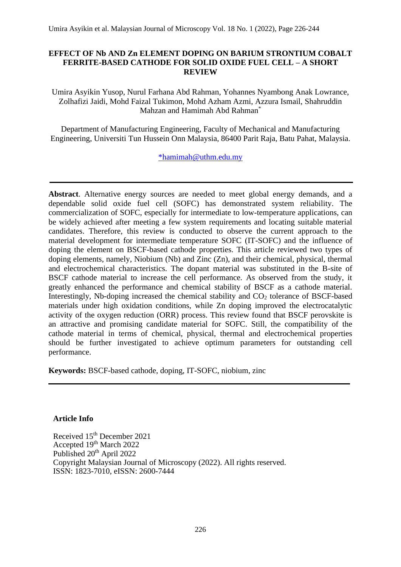## **EFFECT OF Nb AND Zn ELEMENT DOPING ON BARIUM STRONTIUM COBALT FERRITE-BASED CATHODE FOR SOLID OXIDE FUEL CELL – A SHORT REVIEW**

Umira Asyikin Yusop, Nurul Farhana Abd Rahman, Yohannes Nyambong Anak Lowrance, Zolhafizi Jaidi, Mohd Faizal Tukimon, Mohd Azham Azmi, Azzura Ismail, Shahruddin Mahzan and Hamimah Abd Rahman\*

Department of Manufacturing Engineering, Faculty of Mechanical and Manufacturing Engineering, Universiti Tun Hussein Onn Malaysia, 86400 Parit Raja, Batu Pahat, Malaysia.

[\\*hamimah@uthm.edu.my](mailto:*hamimah@uthm.edu.my) 

**Abstract**. Alternative energy sources are needed to meet global energy demands, and a dependable solid oxide fuel cell (SOFC) has demonstrated system reliability. The commercialization of SOFC, especially for intermediate to low-temperature applications, can be widely achieved after meeting a few system requirements and locating suitable material candidates. Therefore, this review is conducted to observe the current approach to the material development for intermediate temperature SOFC (IT-SOFC) and the influence of doping the element on BSCF-based cathode properties. This article reviewed two types of doping elements, namely, Niobium (Nb) and Zinc (Zn), and their chemical, physical, thermal and electrochemical characteristics. The dopant material was substituted in the B-site of BSCF cathode material to increase the cell performance. As observed from the study, it greatly enhanced the performance and chemical stability of BSCF as a cathode material. Interestingly, Nb-doping increased the chemical stability and  $CO<sub>2</sub>$  tolerance of BSCF-based materials under high oxidation conditions, while Zn doping improved the electrocatalytic activity of the oxygen reduction (ORR) process. This review found that BSCF perovskite is an attractive and promising candidate material for SOFC. Still, the compatibility of the cathode material in terms of chemical, physical, thermal and electrochemical properties should be further investigated to achieve optimum parameters for outstanding cell performance.

**Keywords:** BSCF-based cathode, doping, IT-SOFC, niobium, zinc

# **Article Info**

Received 15<sup>th</sup> December 2021 Accepted 19th March 2022 Published 20<sup>th</sup> April 2022 Copyright Malaysian Journal of Microscopy (2022). All rights reserved. ISSN: 1823-7010, eISSN: 2600-7444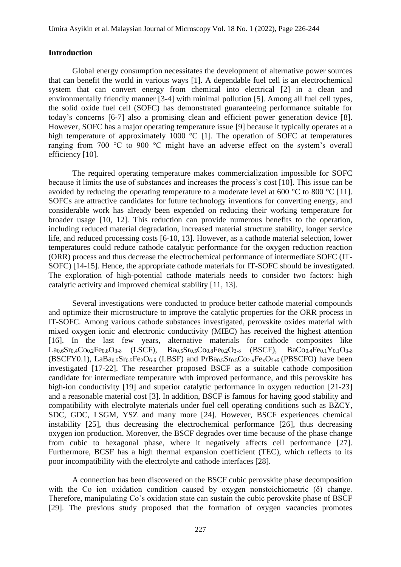#### **Introduction**

Global energy consumption necessitates the development of alternative power sources that can benefit the world in various ways [1]. A dependable fuel cell is an electrochemical system that can convert energy from chemical into electrical [2] in a clean and environmentally friendly manner [3-4] with minimal pollution [5]. Among all fuel cell types, the solid oxide fuel cell (SOFC) has demonstrated guaranteeing performance suitable for today's concerns [6-7] also a promising clean and efficient power generation device [8]. However, SOFC has a major operating temperature issue [9] because it typically operates at a high temperature of approximately 1000 °C [1]. The operation of SOFC at temperatures ranging from 700 °C to 900 °C might have an adverse effect on the system's overall efficiency [10].

The required operating temperature makes commercialization impossible for SOFC because it limits the use of substances and increases the process's cost [10]. This issue can be avoided by reducing the operating temperature to a moderate level at 600 °C to 800 °C [11]. SOFCs are attractive candidates for future technology inventions for converting energy, and considerable work has already been expended on reducing their working temperature for broader usage [10, 12]. This reduction can provide numerous benefits to the operation, including reduced material degradation, increased material structure stability, longer service life, and reduced processing costs [6-10, 13]. However, as a cathode material selection, lower temperatures could reduce cathode catalytic performance for the oxygen reduction reaction (ORR) process and thus decrease the electrochemical performance of intermediate SOFC (IT-SOFC) [14-15]. Hence, the appropriate cathode materials for IT-SOFC should be investigated. The exploration of high-potential cathode materials needs to consider two factors: high catalytic activity and improved chemical stability [11, 13].

Several investigations were conducted to produce better cathode material compounds and optimize their microstructure to improve the catalytic properties for the ORR process in IT-SOFC. Among various cathode substances investigated, perovskite oxides material with mixed oxygen ionic and electronic conductivity (MIEC) has received the highest attention [16]. In the last few years, alternative materials for cathode composites like La0.6Sr0.4Co0.2Fe0.8O3-δ (LSCF), Ba0.5Sr0.5Co0.8Fe0.2O3-δ (BSCF), BaCo0.4Fe0.1Y0.1O3-δ  $(BSCFY0.1)$ ,  $LaBa<sub>0.5</sub>Sr<sub>0.5</sub>Fe<sub>2</sub>O<sub>6-δ</sub>$  (LBSF) and PrBa<sub>0.5</sub>Sr<sub>0.5</sub>Co<sub>2-x</sub>Fe<sub>x</sub>O<sub>5+δ</sub> (PBSCFO) have been investigated [17-22]. The researcher proposed BSCF as a suitable cathode composition candidate for intermediate temperature with improved performance, and this perovskite has high-ion conductivity [19] and superior catalytic performance in oxygen reduction [21-23] and a reasonable material cost [3]. In addition, BSCF is famous for having good stability and compatibility with electrolyte materials under fuel cell operating conditions such as BZCY, SDC, GDC, LSGM, YSZ and many more [24]. However, BSCF experiences chemical instability [25], thus decreasing the electrochemical performance [26], thus decreasing oxygen ion production. Moreover, the BSCF degrades over time because of the phase change from cubic to hexagonal phase, where it negatively affects cell performance [27]. Furthermore, BCSF has a high thermal expansion coefficient (TEC), which reflects to its poor incompatibility with the electrolyte and cathode interfaces [28].

A connection has been discovered on the BSCF cubic perovskite phase decomposition with the Co ion oxidation condition caused by oxygen nonstoichiometric (δ) change. Therefore, manipulating Co's oxidation state can sustain the cubic perovskite phase of BSCF [29]. The previous study proposed that the formation of oxygen vacancies promotes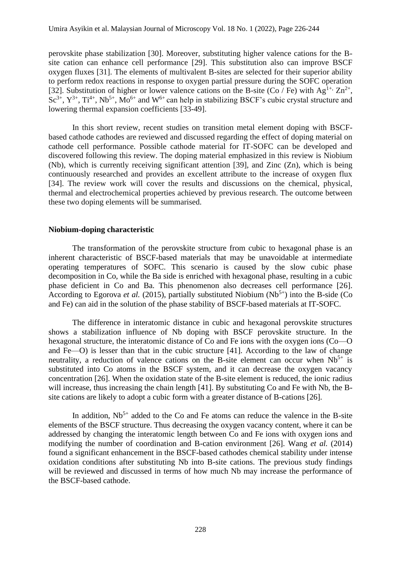perovskite phase stabilization [30]. Moreover, substituting higher valence cations for the Bsite cation can enhance cell performance [29]. This substitution also can improve BSCF oxygen fluxes [31]. The elements of multivalent B-sites are selected for their superior ability to perform redox reactions in response to oxygen partial pressure during the SOFC operation [32]. Substitution of higher or lower valence cations on the B-site (Co / Fe) with Ag<sup>1+,</sup>  $\text{Zn}^{2+}$ ,  $\text{Sc}^{3+}$ ,  $\text{Y}^{3+}$ ,  $\text{Ti}^{4+}$ ,  $\text{Nb}^{5+}$ ,  $\text{Mo}^{6+}$  and  $\text{W}^{6+}$  can help in stabilizing BSCF's cubic crystal structure and lowering thermal expansion coefficients [33-49].

In this short review, recent studies on transition metal element doping with BSCFbased cathode cathodes are reviewed and discussed regarding the effect of doping material on cathode cell performance. Possible cathode material for IT-SOFC can be developed and discovered following this review. The doping material emphasized in this review is Niobium (Nb), which is currently receiving significant attention [39], and Zinc (Zn), which is being continuously researched and provides an excellent attribute to the increase of oxygen flux [34]. The review work will cover the results and discussions on the chemical, physical, thermal and electrochemical properties achieved by previous research. The outcome between these two doping elements will be summarised.

#### **Niobium-doping characteristic**

The transformation of the perovskite structure from cubic to hexagonal phase is an inherent characteristic of BSCF-based materials that may be unavoidable at intermediate operating temperatures of SOFC. This scenario is caused by the slow cubic phase decomposition in Co, while the Ba side is enriched with hexagonal phase, resulting in a cubic phase deficient in Co and Ba. This phenomenon also decreases cell performance [26]. According to Egorova *et al.* (2015), partially substituted Niobium ( $Nb<sup>5+</sup>$ ) into the B-side (Co and Fe) can aid in the solution of the phase stability of BSCF-based materials at IT-SOFC.

The difference in interatomic distance in cubic and hexagonal perovskite structures shows a stabilization influence of Nb doping with BSCF perovskite structure. In the hexagonal structure, the interatomic distance of Co and Fe ions with the oxygen ions (Co—O and Fe—O) is lesser than that in the cubic structure [41]. According to the law of change neutrality, a reduction of valence cations on the B-site element can occur when  $Nb<sup>5+</sup>$  is substituted into Co atoms in the BSCF system, and it can decrease the oxygen vacancy concentration [26]. When the oxidation state of the B-site element is reduced, the ionic radius will increase, thus increasing the chain length [41]. By substituting Co and Fe with Nb, the Bsite cations are likely to adopt a cubic form with a greater distance of B-cations [26].

In addition,  $Nb<sup>5+</sup>$  added to the Co and Fe atoms can reduce the valence in the B-site elements of the BSCF structure. Thus decreasing the oxygen vacancy content, where it can be addressed by changing the interatomic length between Co and Fe ions with oxygen ions and modifying the number of coordination and B-cation environment [26]. Wang *et al.* (2014) found a significant enhancement in the BSCF-based cathodes chemical stability under intense oxidation conditions after substituting Nb into B-site cations. The previous study findings will be reviewed and discussed in terms of how much Nb may increase the performance of the BSCF-based cathode.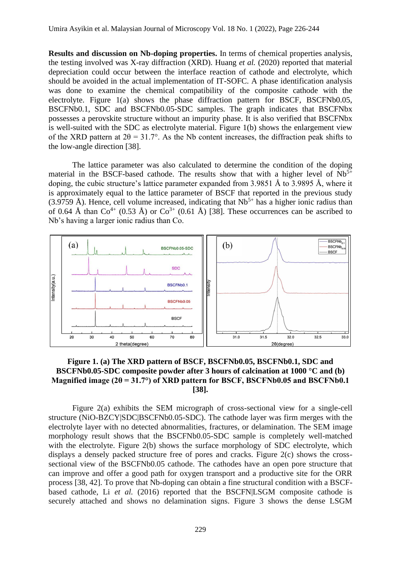**Results and discussion on Nb-doping properties.** In terms of chemical properties analysis, the testing involved was X-ray diffraction (XRD). Huang *et al.* (2020) reported that material depreciation could occur between the interface reaction of cathode and electrolyte, which should be avoided in the actual implementation of IT-SOFC. A phase identification analysis was done to examine the chemical compatibility of the composite cathode with the electrolyte. Figure 1(a) shows the phase diffraction pattern for BSCF, BSCFNb0.05, BSCFNb0.1, SDC and BSCFNb0.05-SDC samples. The graph indicates that BSCFNbx possesses a perovskite structure without an impurity phase. It is also verified that BSCFNbx is well-suited with the SDC as electrolyte material. Figure 1(b) shows the enlargement view of the XRD pattern at  $2\theta = 31.7^{\circ}$ . As the Nb content increases, the diffraction peak shifts to the low-angle direction [38].

The lattice parameter was also calculated to determine the condition of the doping material in the BSCF-based cathode. The results show that with a higher level of  $Nb<sup>5+</sup>$ doping, the cubic structure's lattice parameter expanded from 3.9851 Å to 3.9895 Å, where it is approximately equal to the lattice parameter of BSCF that reported in the previous study  $(3.9759 \text{ Å})$ . Hence, cell volume increased, indicating that  $Nb^{5+}$  has a higher ionic radius than of 0.64 Å than  $Co^{4+}$  (0.53 Å) or  $Co^{3+}$  (0.61 Å) [38]. These occurrences can be ascribed to Nb's having a larger ionic radius than Co.



## **Figure 1. (a) The XRD pattern of BSCF, BSCFNb0.05, BSCFNb0.1, SDC and BSCFNb0.05-SDC composite powder after 3 hours of calcination at 1000 °C and (b) Magnified image (2θ = 31.7°) of XRD pattern for BSCF, BSCFNb0.05 and BSCFNb0.1 [38].**

Figure 2(a) exhibits the SEM micrograph of cross-sectional view for a single-cell structure (NiO-BZCY|SDC|BSCFNb0.05-SDC). The cathode layer was firm merges with the electrolyte layer with no detected abnormalities, fractures, or delamination. The SEM image morphology result shows that the BSCFNb0.05-SDC sample is completely well-matched with the electrolyte. Figure 2(b) shows the surface morphology of SDC electrolyte, which displays a densely packed structure free of pores and cracks. Figure 2(c) shows the crosssectional view of the BSCFNb0.05 cathode. The cathodes have an open pore structure that can improve and offer a good path for oxygen transport and a productive site for the ORR process [38, 42]. To prove that Nb-doping can obtain a fine structural condition with a BSCFbased cathode, Li *et al.* (2016) reported that the BSCFN|LSGM composite cathode is securely attached and shows no delamination signs. Figure 3 shows the dense LSGM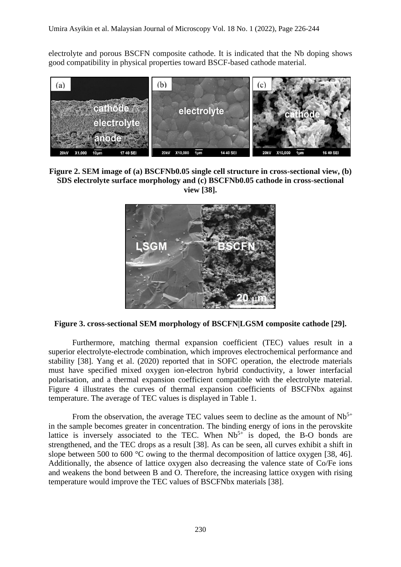electrolyte and porous BSCFN composite cathode. It is indicated that the Nb doping shows good compatibility in physical properties toward BSCF-based cathode material.



**Figure 2. SEM image of (a) BSCFNb0.05 single cell structure in cross-sectional view, (b) SDS electrolyte surface morphology and (c) BSCFNb0.05 cathode in cross-sectional view [38].**



**Figure 3. cross-sectional SEM morphology of BSCFN|LGSM composite cathode [29].**

Furthermore, matching thermal expansion coefficient (TEC) values result in a superior electrolyte-electrode combination, which improves electrochemical performance and stability [38]. Yang et al. (2020) reported that in SOFC operation, the electrode materials must have specified mixed oxygen ion-electron hybrid conductivity, a lower interfacial polarisation, and a thermal expansion coefficient compatible with the electrolyte material. Figure 4 illustrates the curves of thermal expansion coefficients of BSCFNbx against temperature. The average of TEC values is displayed in Table 1.

From the observation, the average TEC values seem to decline as the amount of  $Nb<sup>5+</sup>$ in the sample becomes greater in concentration. The binding energy of ions in the perovskite lattice is inversely associated to the TEC. When  $Nb<sup>5+</sup>$  is doped, the B-O bonds are strengthened, and the TEC drops as a result [38]. As can be seen, all curves exhibit a shift in slope between 500 to 600 °C owing to the thermal decomposition of lattice oxygen [38, 46]. Additionally, the absence of lattice oxygen also decreasing the valence state of Co/Fe ions and weakens the bond between B and O. Therefore, the increasing lattice oxygen with rising temperature would improve the TEC values of BSCFNbx materials [38].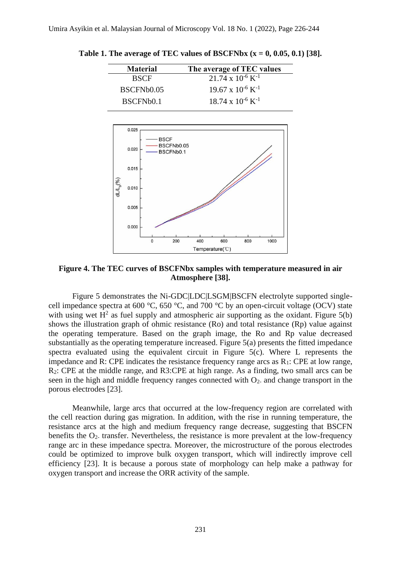| <b>Material</b> | The average of TEC values              |
|-----------------|----------------------------------------|
| <b>BSCF</b>     | $21.74 \times 10^{-6}$ K <sup>-1</sup> |
| BSCFNb0.05      | $19.67 \times 10^{-6}$ K <sup>-1</sup> |
| BSCFNb0.1       | $18.74 \times 10^{-6}$ K <sup>-1</sup> |

**Table 1. The average of TEC values of BSCFNbx**  $(x = 0, 0.05, 0.1)$  [38].



**Figure 4. The TEC curves of BSCFNbx samples with temperature measured in air Atmosphere [38].**

Figure 5 demonstrates the Ni-GDC|LDC|LSGM|BSCFN electrolyte supported singlecell impedance spectra at 600 °C, 650 °C, and 700 °C by an open-circuit voltage (OCV) state with using wet  $H^2$  as fuel supply and atmospheric air supporting as the oxidant. Figure 5(b) shows the illustration graph of ohmic resistance (Ro) and total resistance (Rp) value against the operating temperature. Based on the graph image, the Ro and Rp value decreased substantially as the operating temperature increased. Figure 5(a) presents the fitted impedance spectra evaluated using the equivalent circuit in Figure 5(c). Where L represents the impedance and R: CPE indicates the resistance frequency range arcs as  $R_1$ : CPE at low range, R2: CPE at the middle range, and R3:CPE at high range. As a finding, two small arcs can be seen in the high and middle frequency ranges connected with  $O<sub>2</sub>$  and change transport in the porous electrodes [23].

Meanwhile, large arcs that occurred at the low-frequency region are correlated with the cell reaction during gas migration. In addition, with the rise in running temperature, the resistance arcs at the high and medium frequency range decrease, suggesting that BSCFN benefits the  $O_2$ - transfer. Nevertheless, the resistance is more prevalent at the low-frequency range arc in these impedance spectra. Moreover, the microstructure of the porous electrodes could be optimized to improve bulk oxygen transport, which will indirectly improve cell efficiency [23]. It is because a porous state of morphology can help make a pathway for oxygen transport and increase the ORR activity of the sample.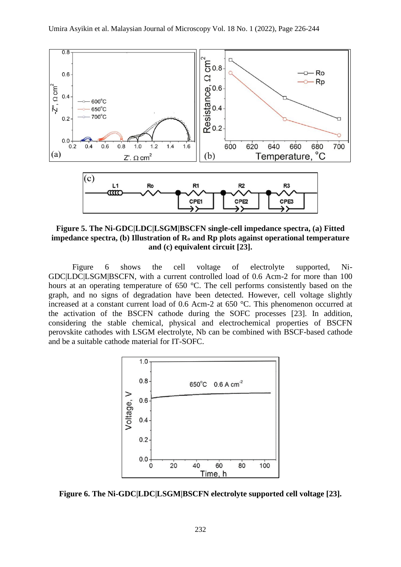

**Figure 5. The Ni-GDC|LDC|LSGM|BSCFN single-cell impedance spectra, (a) Fitted impedance spectra, (b) Illustration of R<sup>o</sup> and Rp plots against operational temperature and (c) equivalent circuit [23].**

Figure 6 shows the cell voltage of electrolyte supported, Ni-GDC|LDC|LSGM|BSCFN, with a current controlled load of 0.6 Acm-2 for more than 100 hours at an operating temperature of 650 °C. The cell performs consistently based on the graph, and no signs of degradation have been detected. However, cell voltage slightly increased at a constant current load of 0.6 Acm-2 at 650 °C. This phenomenon occurred at the activation of the BSCFN cathode during the SOFC processes [23]. In addition, considering the stable chemical, physical and electrochemical properties of BSCFN perovskite cathodes with LSGM electrolyte, Nb can be combined with BSCF-based cathode and be a suitable cathode material for IT-SOFC.



**Figure 6. The Ni-GDC|LDC|LSGM|BSCFN electrolyte supported cell voltage [23].**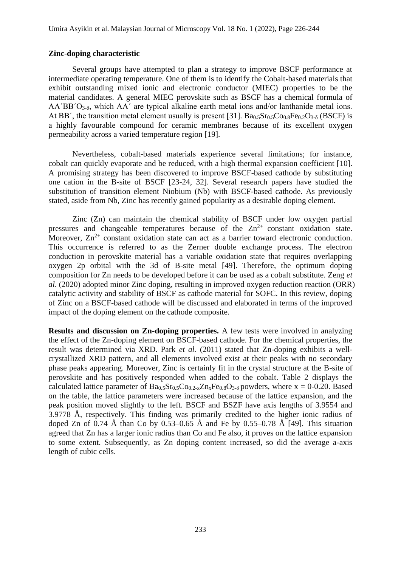#### **Zinc-doping characteristic**

Several groups have attempted to plan a strategy to improve BSCF performance at intermediate operating temperature. One of them is to identify the Cobalt-based materials that exhibit outstanding mixed ionic and electronic conductor (MIEC) properties to be the material candidates. A general MIEC perovskite such as BSCF has a chemical formula of  $AA'BB'O3-δ$ , which  $AA'$  are typical alkaline earth metal ions and/or lanthanide metal ions. At BB', the transition metal element usually is present [31].  $Ba<sub>0.5</sub>Sr<sub>0.5</sub>C<sub>0.8</sub>Fe<sub>0.2</sub>O<sub>3-δ</sub>$  (BSCF) is a highly favourable compound for ceramic membranes because of its excellent oxygen permeability across a varied temperature region [19].

Nevertheless, cobalt-based materials experience several limitations; for instance, cobalt can quickly evaporate and be reduced, with a high thermal expansion coefficient [10]. A promising strategy has been discovered to improve BSCF-based cathode by substituting one cation in the B-site of BSCF [23-24, 32]. Several research papers have studied the substitution of transition element Niobium (Nb) with BSCF-based cathode. As previously stated, aside from Nb, Zinc has recently gained popularity as a desirable doping element.

Zinc (Zn) can maintain the chemical stability of BSCF under low oxygen partial pressures and changeable temperatures because of the  $Zn^{2+}$  constant oxidation state. Moreover,  $\text{Zn}^{2+}$  constant oxidation state can act as a barrier toward electronic conduction. This occurrence is referred to as the Zerner double exchange process. The electron conduction in perovskite material has a variable oxidation state that requires overlapping oxygen 2p orbital with the 3d of B-site metal [49]. Therefore, the optimum doping composition for Zn needs to be developed before it can be used as a cobalt substitute. Zeng *et al*. (2020) adopted minor Zinc doping, resulting in improved oxygen reduction reaction (ORR) catalytic activity and stability of BSCF as cathode material for SOFC. In this review, doping of Zinc on a BSCF-based cathode will be discussed and elaborated in terms of the improved impact of the doping element on the cathode composite.

**Results and discussion on Zn-doping properties.** A few tests were involved in analyzing the effect of the Zn-doping element on BSCF-based cathode. For the chemical properties, the result was determined via XRD. Park *et al.* (2011) stated that Zn-doping exhibits a wellcrystallized XRD pattern, and all elements involved exist at their peaks with no secondary phase peaks appearing. Moreover, Zinc is certainly fit in the crystal structure at the B-site of perovskite and has positively responded when added to the cobalt. Table 2 displays the calculated lattice parameter of  $Ba_{0.5}Sr_{0.5}CO_{0.2-x}Zn_xFe_{0.8}O_{3-δ}$  powders, where  $x = 0-0.20$ . Based on the table, the lattice parameters were increased because of the lattice expansion, and the peak position moved slightly to the left. BSCF and BSZF have axis lengths of 3.9554 and 3.9778 Å, respectively. This finding was primarily credited to the higher ionic radius of doped Zn of 0.74 Å than Co by 0.53–0.65 Å and Fe by 0.55–0.78 Å [49]. This situation agreed that Zn has a larger ionic radius than Co and Fe also, it proves on the lattice expansion to some extent. Subsequently, as Zn doping content increased, so did the average a-axis length of cubic cells.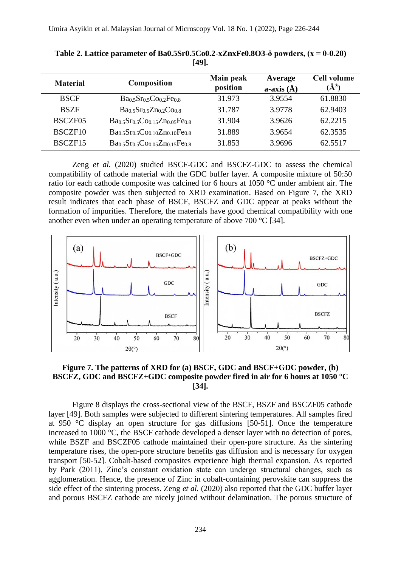| <b>Material</b> | <b>Composition</b>            | Main peak<br>position | Average<br>a-axis $(\AA)$ | <b>Cell volume</b><br>$(\AA^3)$ |
|-----------------|-------------------------------|-----------------------|---------------------------|---------------------------------|
| <b>BSCF</b>     | $Ba0.5Sr0.5Co0.2Fe0.8$        | 31.973                | 3.9554                    | 61.8830                         |
| <b>BSZF</b>     | $Ba0.5Sr0.5Zn0.2Co0.8$        | 31.787                | 3.9778                    | 62.9403                         |
| BSCZF05         | $Ba0.5Sr0.5Co0.15Zn0.05Fe0.8$ | 31.904                | 3.9626                    | 62.2215                         |
| BSCZF10         | $Ba0.5Sr0.5Co0.10Zn0.10Fe0.8$ | 31.889                | 3.9654                    | 62.3535                         |
| BSCZF15         | $Ba0.5Sr0.5Co0.05Zn0.15Fe0.8$ | 31.853                | 3.9696                    | 62.5517                         |

**Table 2. Lattice parameter of Ba0.5Sr0.5Co0.2-xZnxFe0.8O3-δ powders, (x = 0-0.20) [49].**

Zeng *et al.* (2020) studied BSCF-GDC and BSCFZ-GDC to assess the chemical compatibility of cathode material with the GDC buffer layer. A composite mixture of 50:50 ratio for each cathode composite was calcined for 6 hours at 1050 °C under ambient air. The composite powder was then subjected to XRD examination. Based on Figure 7, the XRD result indicates that each phase of BSCF, BSCFZ and GDC appear at peaks without the formation of impurities. Therefore, the materials have good chemical compatibility with one another even when under an operating temperature of above 700 °C [34].



## **Figure 7. The patterns of XRD for (a) BSCF, GDC and BSCF+GDC powder, (b) BSCFZ, GDC and BSCFZ+GDC composite powder fired in air for 6 hours at 1050 °C [34].**

Figure 8 displays the cross-sectional view of the BSCF, BSZF and BSCZF05 cathode layer [49]. Both samples were subjected to different sintering temperatures. All samples fired at 950 °C display an open structure for gas diffusions [50-51]. Once the temperature increased to 1000 °C, the BSCF cathode developed a denser layer with no detection of pores, while BSZF and BSCZF05 cathode maintained their open-pore structure. As the sintering temperature rises, the open-pore structure benefits gas diffusion and is necessary for oxygen transport [50-52]. Cobalt-based composites experience high thermal expansion. As reported by Park (2011), Zinc's constant oxidation state can undergo structural changes, such as agglomeration. Hence, the presence of Zinc in cobalt-containing perovskite can suppress the side effect of the sintering process. Zeng *et al.* (2020) also reported that the GDC buffer layer and porous BSCFZ cathode are nicely joined without delamination. The porous structure of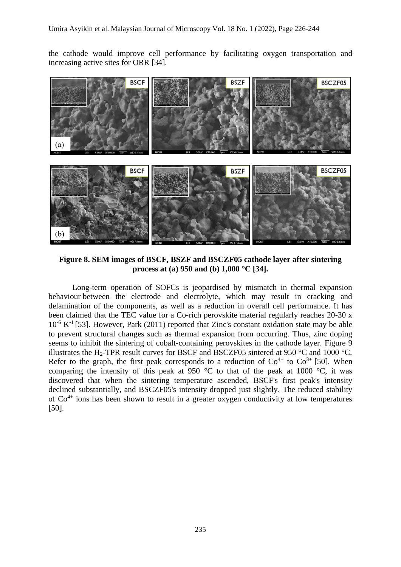the cathode would improve cell performance by facilitating oxygen transportation and increasing active sites for ORR [34].



**Figure 8. SEM images of BSCF, BSZF and BSCZF05 cathode layer after sintering process at (a) 950 and (b) 1,000 °C [34].**

Long-term operation of SOFCs is jeopardised by mismatch in thermal expansion behaviour between the electrode and electrolyte, which may result in cracking and delamination of the components, as well as a reduction in overall cell performance. It has been claimed that the TEC value for a Co-rich perovskite material regularly reaches 20-30 x 10<sup>-6</sup> K<sup>-1</sup> [53]. However, Park (2011) reported that Zinc's constant oxidation state may be able to prevent structural changes such as thermal expansion from occurring. Thus, zinc doping seems to inhibit the sintering of cobalt-containing perovskites in the cathode layer. Figure 9 illustrates the H<sub>2</sub>-TPR result curves for BSCF and BSCZF05 sintered at 950 °C and 1000 °C. Refer to the graph, the first peak corresponds to a reduction of  $\text{Co}^{4+}$  to  $\text{Co}^{3+}$  [50]. When comparing the intensity of this peak at 950  $\degree$ C to that of the peak at 1000  $\degree$ C, it was discovered that when the sintering temperature ascended, BSCF's first peak's intensity declined substantially, and BSCZF05's intensity dropped just slightly. The reduced stability of  $Co<sup>4+</sup>$  ions has been shown to result in a greater oxygen conductivity at low temperatures [50].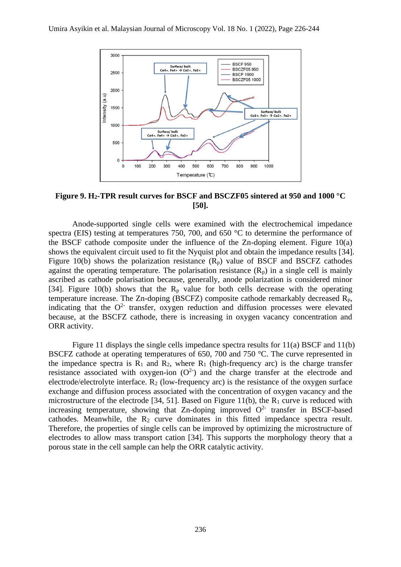

**Figure 9. H2-TPR result curves for BSCF and BSCZF05 sintered at 950 and 1000 °C [50].**

Anode-supported single cells were examined with the electrochemical impedance spectra (EIS) testing at temperatures 750, 700, and 650 °C to determine the performance of the BSCF cathode composite under the influence of the Zn-doping element. Figure 10(a) shows the equivalent circuit used to fit the Nyquist plot and obtain the impedance results [34]. Figure 10(b) shows the polarization resistance  $(R_p)$  value of BSCF and BSCFZ cathodes against the operating temperature. The polarisation resistance  $(R_p)$  in a single cell is mainly ascribed as cathode polarisation because, generally, anode polarization is considered minor [34]. Figure 10(b) shows that the  $R_p$  value for both cells decrease with the operating temperature increase. The Zn-doping (BSCFZ) composite cathode remarkably decreased  $R_p$ , indicating that the  $O<sup>2</sup>$  transfer, oxygen reduction and diffusion processes were elevated because, at the BSCFZ cathode, there is increasing in oxygen vacancy concentration and ORR activity.

Figure 11 displays the single cells impedance spectra results for 11(a) BSCF and 11(b) BSCFZ cathode at operating temperatures of 650, 700 and 750 °C. The curve represented in the impedance spectra is  $R_1$  and  $R_2$ , where  $R_1$  (high-frequency arc) is the charge transfer resistance associated with oxygen-ion  $(O<sup>2</sup>)$  and the charge transfer at the electrode and electrode/electrolyte interface.  $R_2$  (low-frequency arc) is the resistance of the oxygen surface exchange and diffusion process associated with the concentration of oxygen vacancy and the microstructure of the electrode [34, 51]. Based on Figure 11(b), the  $R_1$  curve is reduced with increasing temperature, showing that Zn-doping improved  $O<sup>2</sup>$  transfer in BSCF-based cathodes. Meanwhile, the  $R_2$  curve dominates in this fitted impedance spectra result. Therefore, the properties of single cells can be improved by optimizing the microstructure of electrodes to allow mass transport cation [34]. This supports the morphology theory that a porous state in the cell sample can help the ORR catalytic activity.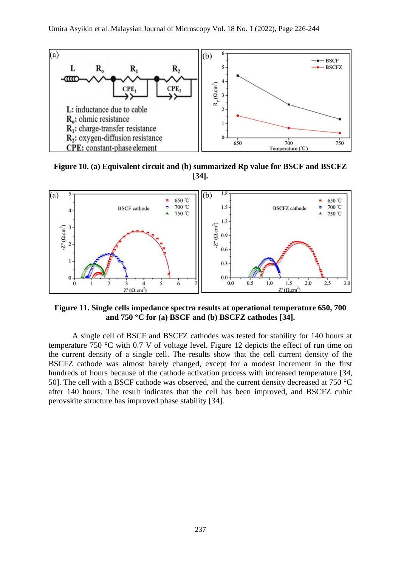

**Figure 10. (a) Equivalent circuit and (b) summarized Rp value for BSCF and BSCFZ [34].**



**Figure 11. Single cells impedance spectra results at operational temperature 650, 700 and 750 °C for (a) BSCF and (b) BSCFZ cathodes [34].**

A single cell of BSCF and BSCFZ cathodes was tested for stability for 140 hours at temperature 750 °C with 0.7 V of voltage level. Figure 12 depicts the effect of run time on the current density of a single cell. The results show that the cell current density of the BSCFZ cathode was almost barely changed, except for a modest increment in the first hundreds of hours because of the cathode activation process with increased temperature [34, 50]. The cell with a BSCF cathode was observed, and the current density decreased at 750 °C after 140 hours. The result indicates that the cell has been improved, and BSCFZ cubic perovskite structure has improved phase stability [34].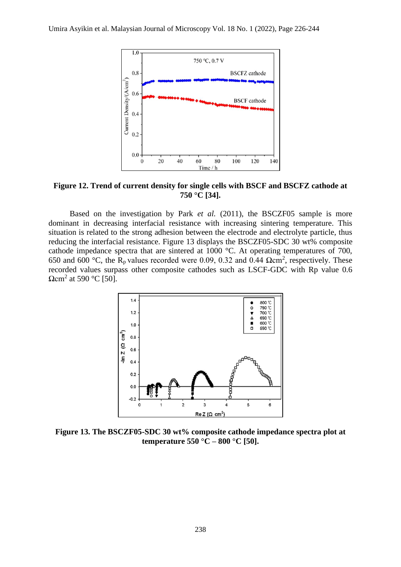

**Figure 12. Trend of current density for single cells with BSCF and BSCFZ cathode at 750 °C [34].**

Based on the investigation by Park *et al.* (2011), the BSCZF05 sample is more dominant in decreasing interfacial resistance with increasing sintering temperature. This situation is related to the strong adhesion between the electrode and electrolyte particle, thus reducing the interfacial resistance. Figure 13 displays the BSCZF05-SDC 30 wt% composite cathode impedance spectra that are sintered at 1000 °C. At operating temperatures of 700, 650 and 600 °C, the R<sub>p</sub> values recorded were 0.09, 0.32 and 0.44  $\Omega$ cm<sup>2</sup>, respectively. These recorded values surpass other composite cathodes such as LSCF-GDC with Rp value 0.6  $\Omega$ cm<sup>2</sup> at 590 °C [50].



**Figure 13. The BSCZF05-SDC 30 wt% composite cathode impedance spectra plot at temperature 550 °C – 800 °C [50].**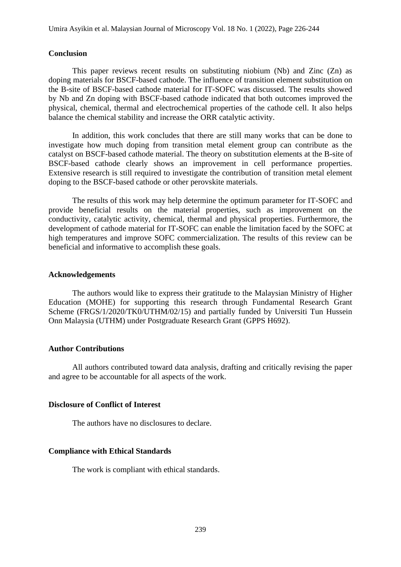#### **Conclusion**

This paper reviews recent results on substituting niobium (Nb) and Zinc  $(Zn)$  as doping materials for BSCF-based cathode. The influence of transition element substitution on the B-site of BSCF-based cathode material for IT-SOFC was discussed. The results showed by Nb and Zn doping with BSCF-based cathode indicated that both outcomes improved the physical, chemical, thermal and electrochemical properties of the cathode cell. It also helps balance the chemical stability and increase the ORR catalytic activity.

In addition, this work concludes that there are still many works that can be done to investigate how much doping from transition metal element group can contribute as the catalyst on BSCF-based cathode material. The theory on substitution elements at the B-site of BSCF-based cathode clearly shows an improvement in cell performance properties. Extensive research is still required to investigate the contribution of transition metal element doping to the BSCF-based cathode or other perovskite materials.

The results of this work may help determine the optimum parameter for IT-SOFC and provide beneficial results on the material properties, such as improvement on the conductivity, catalytic activity, chemical, thermal and physical properties. Furthermore, the development of cathode material for IT-SOFC can enable the limitation faced by the SOFC at high temperatures and improve SOFC commercialization. The results of this review can be beneficial and informative to accomplish these goals.

#### **Acknowledgements**

The authors would like to express their gratitude to the Malaysian Ministry of Higher Education (MOHE) for supporting this research through Fundamental Research Grant Scheme (FRGS/1/2020/TK0/UTHM/02/15) and partially funded by Universiti Tun Hussein Onn Malaysia (UTHM) under Postgraduate Research Grant (GPPS H692).

#### **Author Contributions**

All authors contributed toward data analysis, drafting and critically revising the paper and agree to be accountable for all aspects of the work.

#### **Disclosure of Conflict of Interest**

The authors have no disclosures to declare.

### **Compliance with Ethical Standards**

The work is compliant with ethical standards.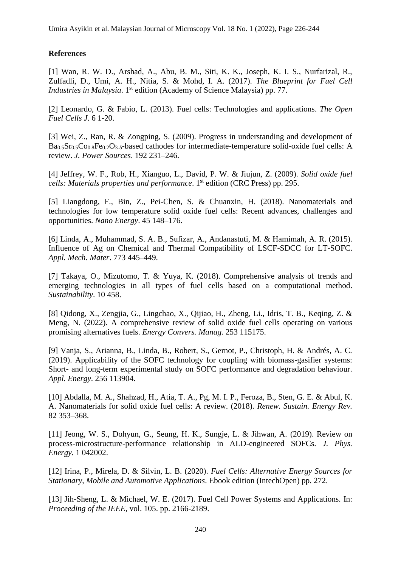# **References**

[1] Wan, R. W. D., Arshad, A., Abu, B. M., Siti, K. K., Joseph, K. I. S., Nurfarizal, R., Zulfadli, D., Umi, A. H., Nitia, S. & Mohd, I. A. (2017). *The Blueprint for Fuel Cell Industries in Malaysia*. 1 st edition (Academy of Science Malaysia) pp. 77.

[2] Leonardo, G. & Fabio, L. (2013). Fuel cells: Technologies and applications. *The Open Fuel Cells J*. 6 1-20.

[3] Wei, Z., Ran, R. & Zongping, S. (2009). Progress in understanding and development of Ba0.5Sr0.5Co0.8Fe0.2O3-δ-based cathodes for intermediate-temperature solid-oxide fuel cells: A review. *J. Power Sources*. 192 231–246.

[4] Jeffrey, W. F., Rob, H., Xianguo, L., David, P. W. & Jiujun, Z. (2009). *Solid oxide fuel cells: Materials properties and performance*. 1 st edition (CRC Press) pp. 295.

[5] Liangdong, F., Bin, Z., Pei-Chen, S. & Chuanxin, H. (2018). Nanomaterials and technologies for low temperature solid oxide fuel cells: Recent advances, challenges and opportunities. *Nano Energy*. 45 148–176.

[6] Linda, A., Muhammad, S. A. B., Sufizar, A., Andanastuti, M. & Hamimah, A. R. (2015). Influence of Ag on Chemical and Thermal Compatibility of LSCF-SDCC for LT-SOFC. *Appl. Mech. Mater*. 773 445–449.

[7] Takaya, O., Mizutomo, T. & Yuya, K. (2018). Comprehensive analysis of trends and emerging technologies in all types of fuel cells based on a computational method. *Sustainability*. 10 458.

[8] Qidong, X., Zengjia, G., Lingchao, X., Qijiao, H., Zheng, Li., Idris, T. B., Keqing, Z. & Meng, N. (2022). A comprehensive review of solid oxide fuel cells operating on various promising alternatives fuels. *Energy Convers. Manag.* 253 115175.

[9] Vanja, S., Arianna, B., Linda, B., Robert, S., Gernot, P., Christoph, H. & Andrés, A. C. (2019). Applicability of the SOFC technology for coupling with biomass-gasifier systems: Short- and long-term experimental study on SOFC performance and degradation behaviour. *Appl. Energy*. 256 113904.

[10] Abdalla, M. A., Shahzad, H., Atia, T. A., Pg, M. I. P., Feroza, B., Sten, G. E. & Abul, K. A. Nanomaterials for solid oxide fuel cells: A review. (2018). *Renew. Sustain. Energy Rev.*  82 353–368.

[11] Jeong, W. S., Dohyun, G., Seung, H. K., Sungje, L. & Jihwan, A. (2019). Review on process-microstructure-performance relationship in ALD-engineered SOFCs. *J. Phys. Energy.* 1 042002.

[12] Irina, P., Mirela, D. & Silvin, L. B. (2020). *Fuel Cells: Alternative Energy Sources for Stationary, Mobile and Automotive Applications*. Ebook edition (IntechOpen) pp. 272.

[13] Jih-Sheng, L. & Michael, W. E. (2017). Fuel Cell Power Systems and Applications*.* In: *Proceeding of the IEEE*, vol. 105. pp. 2166-2189.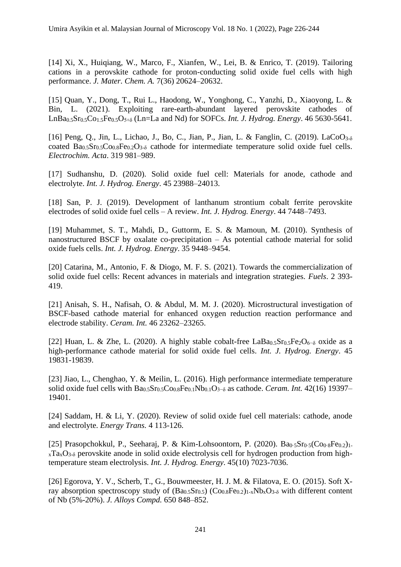[14] Xi, X., Huiqiang, W., Marco, F., Xianfen, W., Lei, B. & Enrico, T. (2019). Tailoring cations in a perovskite cathode for proton-conducting solid oxide fuel cells with high performance. *J. Mater. Chem. A.* 7(36) 20624–20632.

[15] Quan, Y., Dong, T., Rui L., Haodong, W., Yonghong, C., Yanzhi, D., Xiaoyong, L. & Bin, L. (2021). Exploiting rare-earth-abundant layered perovskite cathodes of LnBa0.5Sr0.5Co1.5Fe0.5O5+δ (Ln=La and Nd) for SOFCs. *Int. J. Hydrog. Energy*. 46 5630-5641.

[16] Peng, Q., Jin, L., Lichao, J., Bo, C., Jian, P., Jian, L. & Fanglin, C. (2019). LaCoO<sub>3-δ</sub> coated  $Ba<sub>0.5</sub>Sr<sub>0.5</sub>Co<sub>0.8</sub>Fe<sub>0.2</sub>O<sub>3-δ</sub>$  cathode for intermediate temperature solid oxide fuel cells. *Electrochim. Acta*. 319 981–989.

[17] Sudhanshu, D. (2020). Solid oxide fuel cell: Materials for anode, cathode and electrolyte. *Int. J. Hydrog. Energy*. 45 23988–24013.

[18] San, P. J. (2019). Development of lanthanum strontium cobalt ferrite perovskite electrodes of solid oxide fuel cells – A review. *Int. J. Hydrog. Energy*. 44 7448–7493.

[19] Muhammet, S. T., Mahdi, D., Guttorm, E. S. & Mamoun, M. (2010). Synthesis of nanostructured BSCF by oxalate co-precipitation – As potential cathode material for solid oxide fuels cells. *Int. J. Hydrog. Energy*. 35 9448–9454.

[20] Catarina, M., Antonio, F. & Diogo, M. F. S. (2021). Towards the commercialization of solid oxide fuel cells: Recent advances in materials and integration strategies. *Fuels*. 2 393- 419.

[21] Anisah, S. H., Nafisah, O. & Abdul, M. M. J. (2020). Microstructural investigation of BSCF-based cathode material for enhanced oxygen reduction reaction performance and electrode stability. *Ceram. Int.* 46 23262–23265.

[22] Huan, L. & Zhe, L. (2020). A highly stable cobalt-free LaBa<sub>0.5</sub>Sr<sub>0.5</sub>Fe<sub>2</sub>O<sub>6</sub>- $\delta$  oxide as a high-performance cathode material for solid oxide fuel cells. *Int. J. Hydrog. Energy*. 45 19831-19839.

[23] Jiao, L., Chenghao, Y. & Meilin, L. (2016). High performance intermediate temperature solid oxide fuel cells with Ba<sub>0.5</sub>Sr<sub>0.5</sub>Co<sub>0.8</sub>Fe<sub>0.1</sub>Nb<sub>0.1</sub>O<sub>3</sub>−<sub>δ</sub> as cathode. *Ceram. Int.* 42(16) 19397– 19401.

[24] Saddam, H. & Li, Y. (2020). Review of solid oxide fuel cell materials: cathode, anode and electrolyte. *Energy Trans.* 4 113-126.

[25] Prasopchokkul, P., Seeharaj, P. & Kim-Lohsoontorn, P. (2020).  $Ba_0.5Sr_0.5(Co_0.8Fe_0.2)_{1-}$  $xTa_xO_{3-\delta}$  perovskite anode in solid oxide electrolysis cell for hydrogen production from hightemperature steam electrolysis. *Int. J. Hydrog. Energy*. 45(10) 7023-7036.

[26] Egorova, Y. V., Scherb, T., G., Bouwmeester, H. J. M. & Filatova, E. O. (2015). Soft Xray absorption spectroscopy study of  $(Ba_0.5Sr_0.5)$   $(Co_0.8Fe_0.2)_{1-x}Nb_xO_{3-δ}$  with different content of Nb (5%-20%). *J. Alloys Compd.* 650 848–852.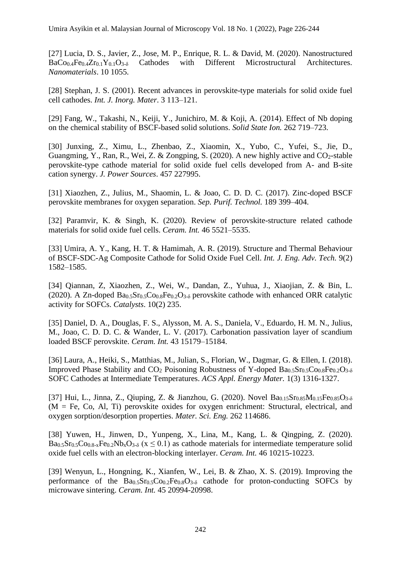[27] Lucia, D. S., Javier, Z., Jose, M. P., Enrique, R. L. & David, M. (2020). Nanostructured BaCo<sub>0.4</sub>Fe<sub>0.4</sub>Zr<sub>0.1</sub>Y<sub>0.1</sub>O<sub>3-δ</sub> Cathodes with Different Microstructural Architectures. *Nanomaterials*. 10 1055.

[28] Stephan, J. S. (2001). Recent advances in perovskite-type materials for solid oxide fuel cell cathodes. *Int. J. Inorg. Mater*. 3 113–121.

[29] Fang, W., Takashi, N., Keiji, Y., Junichiro, M. & Koji, A. (2014). Effect of Nb doping on the chemical stability of BSCF-based solid solutions. *Solid State Ion.* 262 719–723.

[30] Junxing, Z., Ximu, L., Zhenbao, Z., Xiaomin, X., Yubo, C., Yufei, S., Jie, D., Guangming, Y., Ran, R., Wei, Z. & Zongping, S. (2020). A new highly active and  $CO<sub>2</sub>$ -stable perovskite-type cathode material for solid oxide fuel cells developed from A- and B-site cation synergy. *J. Power Sources*. 457 227995.

[31] Xiaozhen, Z., Julius, M., Shaomin, L. & Joao, C. D. D. C. (2017). Zinc-doped BSCF perovskite membranes for oxygen separation. *Sep. Purif. Technol.* 189 399–404.

[32] Paramvir, K. & Singh, K. (2020). Review of perovskite-structure related cathode materials for solid oxide fuel cells. *Ceram. Int.* 46 5521–5535.

[33] Umira, A. Y., Kang, H. T. & Hamimah, A. R. (2019). Structure and Thermal Behaviour of BSCF-SDC-Ag Composite Cathode for Solid Oxide Fuel Cell. *Int. J. Eng. Adv. Tech.* 9(2) 1582–1585.

[34] Qiannan, Z, Xiaozhen, Z., Wei, W., Dandan, Z., Yuhua, J., Xiaojian, Z. & Bin, L. (2020). A Zn-doped  $Ba_{0.5}Sr_{0.5}Co_{0.8}Fe_{0.2}O_{3.5}$  perovskite cathode with enhanced ORR catalytic activity for SOFCs. *Catalysts*. 10(2) 235.

[35] Daniel, D. A., Douglas, F. S., Alysson, M. A. S., Daniela, V., Eduardo, H. M. N., Julius, M., Joao, C. D. D. C. & Wander, L. V. (2017). Carbonation passivation layer of scandium loaded BSCF perovskite. *Ceram. Int.* 43 15179–15184.

[36] Laura, A., Heiki, S., Matthias, M., Julian, S., Florian, W., Dagmar, G. & Ellen, I. (2018). Improved Phase Stability and  $CO_2$  Poisoning Robustness of Y-doped  $Ba_{0.5}Sr_{0.5}Co_{0.8}Fe_{0.2}O_{3.5}$ SOFC Cathodes at Intermediate Temperatures. *ACS Appl. Energy Mater.* 1(3) 1316-1327.

[37] Hui, L., Jinna, Z., Qiuping, Z. & Jianzhou, G. (2020). Novel  $Ba_{0.15}Sr_{0.85}M_{0.15}Fe_{0.85}O_{3-\delta}$ (M = Fe, Co, Al, Ti) perovskite oxides for oxygen enrichment: Structural, electrical, and oxygen sorption/desorption properties. *Mater. Sci. Eng.* 262 114686.

[38] Yuwen, H., Jinwen, D., Yunpeng, X., Lina, M., Kang, L. & Qingping, Z. (2020).  $Ba<sub>0.5</sub>Sr<sub>0.5</sub>Co<sub>0.8-x</sub>Fe<sub>0.2</sub>Nb<sub>x</sub>O<sub>3-δ</sub>$  (x  $\leq$  0.1) as cathode materials for intermediate temperature solid oxide fuel cells with an electron-blocking interlayer. *Ceram. Int.* 46 10215-10223.

[39] Wenyun, L., Hongning, K., Xianfen, W., Lei, B. & Zhao, X. S. (2019). Improving the performance of the  $Ba<sub>0.5</sub>Sr<sub>0.5</sub>Co<sub>0.2</sub>Fe<sub>0.8</sub>O<sub>3-δ</sub>$  cathode for proton-conducting SOFCs by microwave sintering. *Ceram. Int.* 45 20994-20998.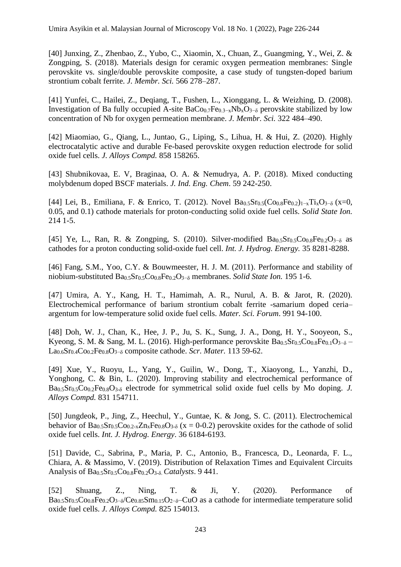[40] Junxing, Z., Zhenbao, Z., Yubo, C., Xiaomin, X., Chuan, Z., Guangming, Y., Wei, Z. & Zongping, S. (2018). Materials design for ceramic oxygen permeation membranes: Single perovskite vs. single/double perovskite composite, a case study of tungsten-doped barium strontium cobalt ferrite. *J. Membr. Sci.* 566 278–287.

[41] Yunfei, C., Hailei, Z., Deqiang, T., Fushen, L., Xionggang, L. & Weizhing, D. (2008). Investigation of Ba fully occupied A-site  $BaCo<sub>0.7</sub>Fe<sub>0.3−x</sub>Nb<sub>x</sub>O<sub>3−δ</sub>$  perovskite stabilized by low concentration of Nb for oxygen permeation membrane. *J. Membr. Sci.* 322 484–490.

[42] Miaomiao, G., Qiang, L., Juntao, G., Liping, S., Lihua, H. & Hui, Z. (2020). Highly electrocatalytic active and durable Fe-based perovskite oxygen reduction electrode for solid oxide fuel cells. *J. Alloys Compd.* 858 158265.

[43] Shubnikovaa, E. V, Braginaa, O. A. & Nemudrya, A. P. (2018). Mixed conducting molybdenum doped BSCF materials. *J. Ind. Eng. Chem*. 59 242-250.

[44] Lei, B., Emiliana, F. & Enrico, T. (2012). Novel  $Ba_{0.5}Sr_{0.5}(Co_{0.8}Fe_{0.2})_{1-x}Ti_xO_{3-\delta}$  (x=0, 0.05, and 0.1) cathode materials for proton-conducting solid oxide fuel cells. *Solid State Ion.* 214 1-5.

[45] Ye, L., Ran, R. & Zongping, S. (2010). Silver-modified  $Ba_{0.5}Sr_{0.5}Co_{0.8}Fe_{0.2}O_{3- \delta}$  as cathodes for a proton conducting solid-oxide fuel cell. *Int. J. Hydrog. Energy.* 35 8281-8288.

[46] Fang, S.M., Yoo, C.Y. & Bouwmeester, H. J. M. (2011). Performance and stability of niobium-substituted Ba0.5Sr0.5Co0.8Fe0.2O3−δ membranes. *Solid State Ion.* 195 1-6.

[47] Umira, A. Y., Kang, H. T., Hamimah, A. R., Nurul, A. B. & Jarot, R. (2020). Electrochemical performance of barium strontium cobalt ferrite -samarium doped ceria– argentum for low-temperature solid oxide fuel cells. *Mater. Sci. Forum*. 991 94-100.

[48] Doh, W. J., Chan, K., Hee, J. P., Ju, S. K., Sung, J. A., Dong, H. Y., Sooyeon, S., Kyeong, S. M. & Sang, M. L. (2016). High-performance perovskite  $Ba_{0.5}Sr_{0.5}Co_{0.8}Fe_{0.1}O_{3-\delta}$  – La0.6Sr0.4Co0.2Fe0.8O3−δ composite cathode. *Scr. Mater.* 113 59-62.

[49] Xue, Y., Ruoyu, L., Yang, Y., Guilin, W., Dong, T., Xiaoyong, L., Yanzhi, D., Yonghong, C. & Bin, L. (2020). Improving stability and electrochemical performance of Ba0.5Sr0.5Co0.2Fe0.8O3-δ electrode for symmetrical solid oxide fuel cells by Mo doping. *J. Alloys Compd.* 831 154711.

[50] Jungdeok, P., Jing, Z., Heechul, Y., Guntae, K. & Jong, S. C. (2011). Electrochemical behavior of  $Ba<sub>0.5</sub>Sr<sub>0.5</sub>Co<sub>0.2-x</sub>Zn<sub>x</sub>Fe<sub>0.8</sub>O<sub>3-δ</sub>$  (x = 0-0.2) perovskite oxides for the cathode of solid oxide fuel cells. *Int. J. Hydrog. Energy*. 36 6184-6193.

[51] Davide, C., Sabrina, P., Maria, P. C., Antonio, B., Francesca, D., Leonarda, F. L., Chiara, A. & Massimo, V. (2019). Distribution of Relaxation Times and Equivalent Circuits Analysis of Ba0.5Sr0.5Co0.8Fe0.2O3-δ. *Catalysts*. 9 441.

[52] Shuang, Z., Ning, T. & Ji, Y. (2020). Performance of Ba<sub>0.5</sub>Sr<sub>0.5</sub>Co<sub>0.8</sub>Fe<sub>0.2</sub>O<sub>3−δ</sub>/Ce<sub>0.85</sub>Sm<sub>0.15</sub>O<sub>2−δ</sub>–CuO as a cathode for intermediate temperature solid oxide fuel cells. *J. Alloys Compd.* 825 154013.